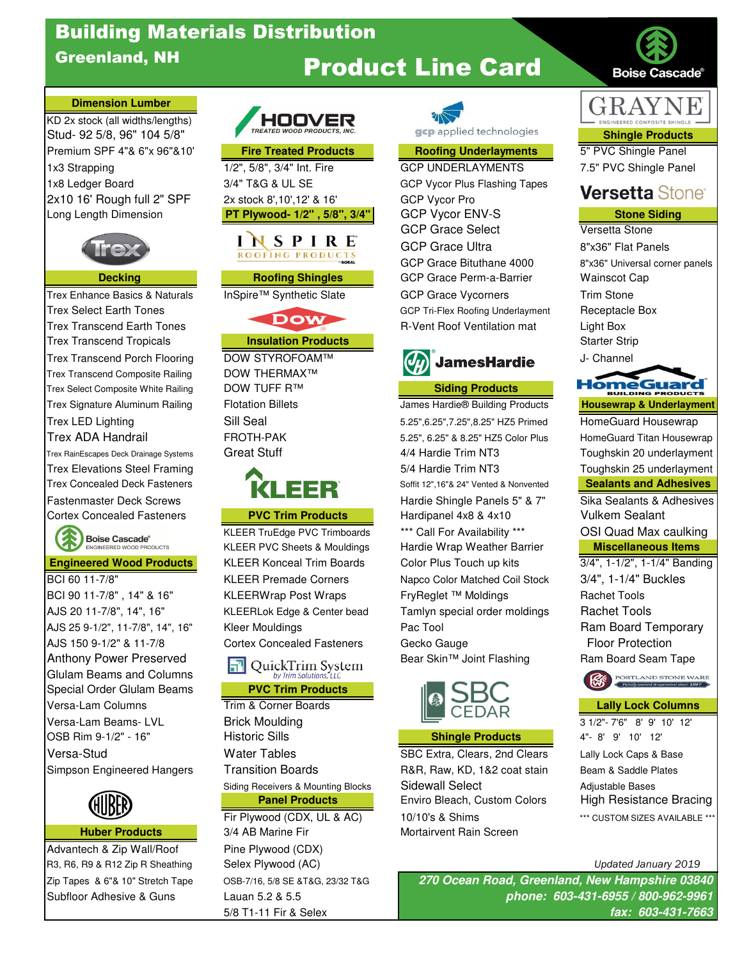# Building Materials Distribution

## Greenland, NH

# Product Line Card

### **Dimension Lumber**

KD 2x stock (all widths/lengths) Stud- 92 5/8, 96" 104 5/8" **Shingle Products Stud- 92 5/8, 96" 104 5/8"** The Structure of The Structs Shingle Products Premium SPF 4"& 6"x 96"&10' **Fire Treated Products Roofing Underlayments** 5" PVC Shingle Panel 1x3 Strapping The The Time 1/2", 5/8", 3/4" Int. Fire GCP UNDERLAYMENTS 7.5" PVC Shingle Panel 1x8 Ledger Board **3/4" T&G & UL SE** GCP Vycor Plus Flashing Tapes 2x10 16' Rough full 2" SPF 2x stock 8',10',12' & 16' GCP Vycor Pro



Trex Transcend Tropicals **Insulation Products Insulation Products** Starter Strip Trex Transcend Porch Flooring DOW STYROFOAM™ **JamesHardie** J- Channel Trex Transcend Composite Railing DOW THERMAX<sup>™</sup> Trex Select Composite White Railing **Siding Products** DOW TUFF R™ **Siding Products** 



Anthony Power Preserved **Bear Skin™ Joint Flashing Bear Skin** Mexic Consider the Seam Tape Considering Ram Board Seam Tape Glulam Beams and Columns Special Order Glulam Beams **PVC Trim Products** Versa-Lam Columns Trim & Corner Boards **Lally Lock Columns**



Advantech & Zip Wall/Roof Pine Plywood (CDX) R3, R6, R9 & R12 Zip R Sheathing Selex Plywood (AC) Noting the Selection of the Updated January 2019 Zip Tapes & 6"& 10" Stretch Tape OSB-7/16, 5/8 SE &T&G, 23/32 T&G Subfloor Adhesive & Guns Lauan 5.2 & 5.5







Versa-Lam Beams- LVL Brick Moulding 3 1/2"- 7'6" 8' 9' 10' 12' OSB Rim 9-1/2" - 16" Historic Sills **Shingle Products** 4"- 8' 9' 10' 12' Versa-Stud Water Tables SBC Extra, Clears, 2nd Clears Lally Lock Caps & Base Simpson Engineered Hangers Transition Boards **R&R, Raw, KD, 1&2 coat stain** Beam & Saddle Plates Siding Receivers & Mounting Blocks Sidewall Select Adjustable Bases

**Huber Products** 3/4 AB Marine Fir **Mortairvent Rain Screen** 



Long Length Dimension **PT Plywood- 1/2" , 5/8", 3/4"** GCP Vycor ENV-S **Stone Siding** GCP Grace Select Versetta Stone GCP Grace Ultra 8"x36" Flat Panels GCP Grace Bituthane 4000 8"x36" Universal corner panels **Decking Community Communist Communist Communist Communist Communist Communist Communist Communist Communist Communist Communist Communist Communist Communist Communist Communist Communist Communist Communist Communist Com** Trex Enhance Basics & Naturals InSpire™ Synthetic Slate GCP Grace Vycorners Trim Stone Trex Select Earth Tones GCP Tri-Flex Roofing Underlayment Receptacle Box Trex Transcend Earth Tones **R-Vent Roof Ventilation mat** Light Box

Trex Signature Aluminum Railing Flotation Billets **Communisty Communisty Communisty Communisty Communisty Communisty** Trex LED Lighting Trex LED Lighting Sill Seal 5.25",6.25",7.25",8.25" HZ5 Primed Housewrap Trex ADA Handrail FROTH-PAK 5.25", 6.25" & 8.25" HZ5 Color Plus HomeGuard Titan Housewrap Trex RainEscapes Deck Drainage Systems Great Stuff 4/4 Hardie Trim NT3 Toughskin 20 underlayment Trex Elevations Steel Framing 5/4 Hardie Trim NT3 Toughskin 25 underlayment Trex Concealed Deck Fasteners **Soffit 12",16"& 24" Vented & Nonvented Sealants and Adhesives** Fastenmaster Deck Screws **Hardie Law Hardie Shingle Panels 5" & 7"** Sika Sealants & Adhesives Cortex Concealed Fasteners **PVC Trim Products** Hardipanel 4x8 & 4x10 Vulkem Sealant KLEER TruEdge PVC Trimboards \*\*\* Call For Availability \*\*\* OSI Quad Max caulking KLEER PVC Sheets & Mouldings Hardie Wrap Weather Barrier **Miscellaneous Items Engineered Wood Products** KLEER Konceal Trim Boards Color Plus Touch up kits 3/4", 1-1/2", 1-1/4" Banding BCI 60 11-7/8" KLEER Premade Corners Napco Color Matched Coil Stock 3/4", 1-1/4" Buckles BCI 90 11-7/8", 14" & 16" KLEERWrap Post Wraps FryReglet ™ Moldings Rachet Tools AJS 20 11-7/8", 14", 16" KLEERLok Edge & Center bead Tamlyn special order moldings Rachet Tools AJS 25 9-1/2", 11-7/8", 14", 16" Kleer Mouldings Pac Tool Pac Tool Ram Board Temporary AJS 150 9-1/2" & 11-7/8 Cortex Concealed Fasteners Gecko Gauge Floor Protection



**Panel Products** Enviro Bleach, Custom Colors High Resistance Bracing Fir Plywood (CDX, UL & AC)  $10/10$ 's & Shims \*\*\* CUSTOM SIZES AVAILABLE \*\*



**Boise Cascade®** 

## **Versetta Stone<sup>®</sup>**

# **HomeGuard**





5/8 T1-11 Fir & Selex **fax: 603-431-7663 270 Ocean Road, Greenland, New Hampshire 03840 phone: 603-431-6955 / 800-962-9961**